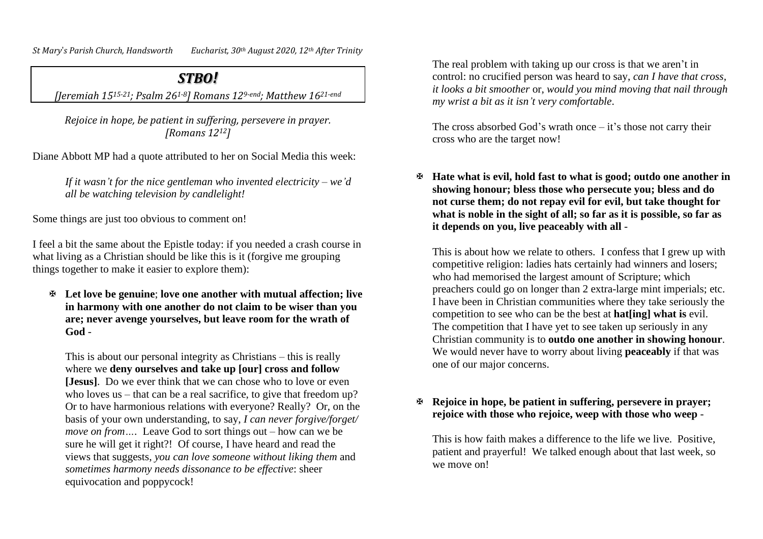*St Mary*'*s Parish Church, Handsworth Eucharist, 30th August 2020, 12th After Trinity*

## *STBO!*

*[Jeremiah 1515-21; Psalm 261-8] Romans 129-end; Matthew 1621-end*

*Rejoice in hope, be patient in suffering, persevere in prayer. [Romans 1212]*

Diane Abbott MP had a quote attributed to her on Social Media this week:

*If it wasn't for the nice gentleman who invented electricity – we'd all be watching television by candlelight!*

Some things are just too obvious to comment on!

I feel a bit the same about the Epistle today: if you needed a crash course in what living as a Christian should be like this is it (forgive me grouping things together to make it easier to explore them):

 **Let love be genuine**; **love one another with mutual affection; live in harmony with one another do not claim to be wiser than you are; never avenge yourselves, but leave room for the wrath of God** -

This is about our personal integrity as Christians – this is really where we **deny ourselves and take up [our] cross and follow [Jesus]**. Do we ever think that we can chose who to love or even who loves us – that can be a real sacrifice, to give that freedom up? Or to have harmonious relations with everyone? Really? Or, on the basis of your own understanding, to say, *I can never forgive/forget/ move on from….* Leave God to sort things out – how can we be sure he will get it right?!Of course, I have heard and read the views that suggests, *you can love someone without liking them* and *sometimes harmony needs dissonance to be effective*: sheer equivocation and poppycock!

The real problem with taking up our cross is that we aren't in control: no crucified person was heard to say, *can I have that cross, it looks a bit smoother* or, *would you mind moving that nail through my wrist a bit as it isn't very comfortable*.

The cross absorbed God's wrath once  $-$  it's those not carry their cross who are the target now!

 **Hate what is evil, hold fast to what is good; outdo one another in showing honour; bless those who persecute you; bless and do not curse them; do not repay evil for evil, but take thought for what is noble in the sight of all; so far as it is possible, so far as it depends on you, live peaceably with all** -

This is about how we relate to others. I confess that I grew up with competitive religion: ladies hats certainly had winners and losers; who had memorised the largest amount of Scripture; which preachers could go on longer than 2 extra-large mint imperials; etc. I have been in Christian communities where they take seriously the competition to see who can be the best at **hat[ing] what is** evil. The competition that I have yet to see taken up seriously in any Christian community is to **outdo one another in showing honour**. We would never have to worry about living **peaceably** if that was one of our major concerns.

## **Rejoice in hope, be patient in suffering, persevere in prayer; rejoice with those who rejoice, weep with those who weep** -

This is how faith makes a difference to the life we live. Positive, patient and prayerful! We talked enough about that last week, so we move on!